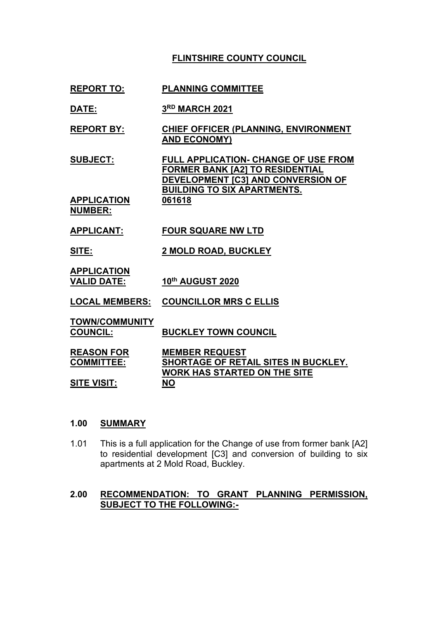## **FLINTSHIRE COUNTY COUNCIL**

- **REPORT TO: PLANNING COMMITTEE**
- **DATE: 3 RD MARCH 2021**
- **REPORT BY: CHIEF OFFICER (PLANNING, ENVIRONMENT AND ECONOMY)**
- **SUBJECT: FULL APPLICATION- CHANGE OF USE FROM FORMER BANK [A2] TO RESIDENTIAL DEVELOPMENT [C3] AND CONVERSION OF BUILDING TO SIX APARTMENTS. APPLICATION 061618**
- **APPLICANT: FOUR SQUARE NW LTD**
- **SITE: 2 MOLD ROAD, BUCKLEY**
- **APPLICATION VALID DATE: 10th AUGUST 2020**
- **LOCAL MEMBERS: COUNCILLOR MRS C ELLIS**
- **TOWN/COMMUNITY**

**NUMBER:**

**COUNCIL: BUCKLEY TOWN COUNCIL**

**REASON FOR COMMITTEE: MEMBER REQUEST SHORTAGE OF RETAIL SITES IN BUCKLEY. WORK HAS STARTED ON THE SITE SITE VISIT: NO**

### **1.00 SUMMARY**

1.01 This is a full application for the Change of use from former bank [A2] to residential development [C3] and conversion of building to six apartments at 2 Mold Road, Buckley.

#### **2.00 RECOMMENDATION: TO GRANT PLANNING PERMISSION, SUBJECT TO THE FOLLOWING:-**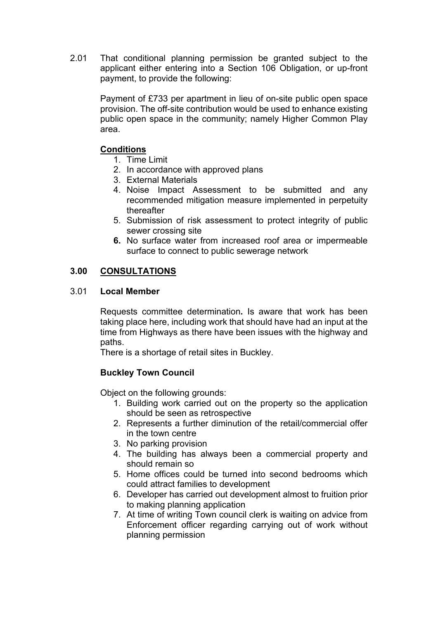2.01 That conditional planning permission be granted subject to the applicant either entering into a Section 106 Obligation, or up-front payment, to provide the following:

Payment of £733 per apartment in lieu of on-site public open space provision. The off-site contribution would be used to enhance existing public open space in the community; namely Higher Common Play area.

## **Conditions**

- 1. Time Limit
- 2. In accordance with approved plans
- 3. External Materials
- 4. Noise Impact Assessment to be submitted and any recommended mitigation measure implemented in perpetuity thereafter
- 5. Submission of risk assessment to protect integrity of public sewer crossing site
- **6.** No surface water from increased roof area or impermeable surface to connect to public sewerage network

## **3.00 CONSULTATIONS**

### 3.01 **Local Member**

Requests committee determination**.** Is aware that work has been taking place here, including work that should have had an input at the time from Highways as there have been issues with the highway and paths.

There is a shortage of retail sites in Buckley.

## **Buckley Town Council**

Object on the following grounds:

- 1. Building work carried out on the property so the application should be seen as retrospective
- 2. Represents a further diminution of the retail/commercial offer in the town centre
- 3. No parking provision
- 4. The building has always been a commercial property and should remain so
- 5. Home offices could be turned into second bedrooms which could attract families to development
- 6. Developer has carried out development almost to fruition prior to making planning application
- 7. At time of writing Town council clerk is waiting on advice from Enforcement officer regarding carrying out of work without planning permission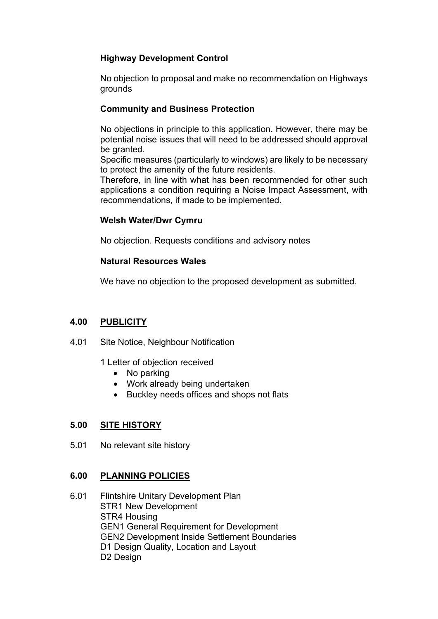# **Highway Development Control**

No objection to proposal and make no recommendation on Highways grounds

# **Community and Business Protection**

No objections in principle to this application. However, there may be potential noise issues that will need to be addressed should approval be granted.

Specific measures (particularly to windows) are likely to be necessary to protect the amenity of the future residents.

Therefore, in line with what has been recommended for other such applications a condition requiring a Noise Impact Assessment, with recommendations, if made to be implemented.

## **Welsh Water/Dwr Cymru**

No objection. Requests conditions and advisory notes

## **Natural Resources Wales**

We have no objection to the proposed development as submitted.

## **4.00 PUBLICITY**

- 4.01 Site Notice, Neighbour Notification
	- 1 Letter of objection received
		- No parking
		- Work already being undertaken
		- Buckley needs offices and shops not flats

## **5.00 SITE HISTORY**

5.01 No relevant site history

## **6.00 PLANNING POLICIES**

6.01 Flintshire Unitary Development Plan STR1 New Development STR4 Housing GEN1 General Requirement for Development GEN2 Development Inside Settlement Boundaries D1 Design Quality, Location and Layout D2 Design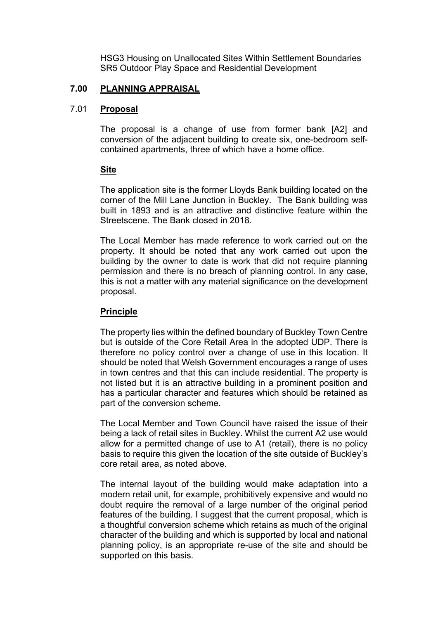HSG3 Housing on Unallocated Sites Within Settlement Boundaries SR5 Outdoor Play Space and Residential Development

### **7.00 PLANNING APPRAISAL**

#### 7.01 **Proposal**

The proposal is a change of use from former bank [A2] and conversion of the adjacent building to create six, one-bedroom selfcontained apartments, three of which have a home office.

### **Site**

The application site is the former Lloyds Bank building located on the corner of the Mill Lane Junction in Buckley. The Bank building was built in 1893 and is an attractive and distinctive feature within the Streetscene. The Bank closed in 2018.

The Local Member has made reference to work carried out on the property. It should be noted that any work carried out upon the building by the owner to date is work that did not require planning permission and there is no breach of planning control. In any case, this is not a matter with any material significance on the development proposal.

### **Principle**

The property lies within the defined boundary of Buckley Town Centre but is outside of the Core Retail Area in the adopted UDP. There is therefore no policy control over a change of use in this location. It should be noted that Welsh Government encourages a range of uses in town centres and that this can include residential. The property is not listed but it is an attractive building in a prominent position and has a particular character and features which should be retained as part of the conversion scheme.

The Local Member and Town Council have raised the issue of their being a lack of retail sites in Buckley. Whilst the current A2 use would allow for a permitted change of use to A1 (retail), there is no policy basis to require this given the location of the site outside of Buckley's core retail area, as noted above.

The internal layout of the building would make adaptation into a modern retail unit, for example, prohibitively expensive and would no doubt require the removal of a large number of the original period features of the building. I suggest that the current proposal, which is a thoughtful conversion scheme which retains as much of the original character of the building and which is supported by local and national planning policy, is an appropriate re-use of the site and should be supported on this basis.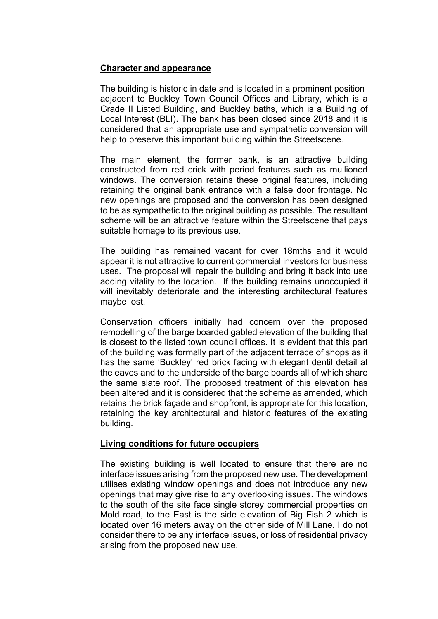### **Character and appearance**

The building is historic in date and is located in a prominent position adjacent to Buckley Town Council Offices and Library, which is a Grade II Listed Building, and Buckley baths, which is a Building of Local Interest (BLI). The bank has been closed since 2018 and it is considered that an appropriate use and sympathetic conversion will help to preserve this important building within the Streetscene.

The main element, the former bank, is an attractive building constructed from red crick with period features such as mullioned windows. The conversion retains these original features, including retaining the original bank entrance with a false door frontage. No new openings are proposed and the conversion has been designed to be as sympathetic to the original building as possible. The resultant scheme will be an attractive feature within the Streetscene that pays suitable homage to its previous use.

The building has remained vacant for over 18mths and it would appear it is not attractive to current commercial investors for business uses. The proposal will repair the building and bring it back into use adding vitality to the location. If the building remains unoccupied it will inevitably deteriorate and the interesting architectural features maybe lost.

Conservation officers initially had concern over the proposed remodelling of the barge boarded gabled elevation of the building that is closest to the listed town council offices. It is evident that this part of the building was formally part of the adjacent terrace of shops as it has the same 'Buckley' red brick facing with elegant dentil detail at the eaves and to the underside of the barge boards all of which share the same slate roof. The proposed treatment of this elevation has been altered and it is considered that the scheme as amended, which retains the brick façade and shopfront, is appropriate for this location, retaining the key architectural and historic features of the existing building.

#### **Living conditions for future occupiers**

The existing building is well located to ensure that there are no interface issues arising from the proposed new use. The development utilises existing window openings and does not introduce any new openings that may give rise to any overlooking issues. The windows to the south of the site face single storey commercial properties on Mold road, to the East is the side elevation of Big Fish 2 which is located over 16 meters away on the other side of Mill Lane. I do not consider there to be any interface issues, or loss of residential privacy arising from the proposed new use.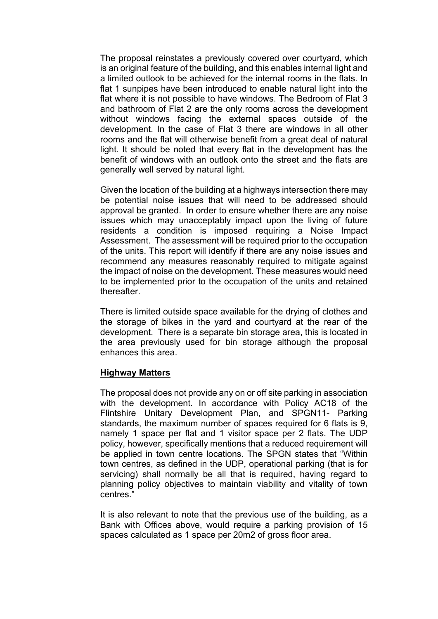The proposal reinstates a previously covered over courtyard, which is an original feature of the building, and this enables internal light and a limited outlook to be achieved for the internal rooms in the flats. In flat 1 sunpipes have been introduced to enable natural light into the flat where it is not possible to have windows. The Bedroom of Flat 3 and bathroom of Flat 2 are the only rooms across the development without windows facing the external spaces outside of the development. In the case of Flat 3 there are windows in all other rooms and the flat will otherwise benefit from a great deal of natural light. It should be noted that every flat in the development has the benefit of windows with an outlook onto the street and the flats are generally well served by natural light.

Given the location of the building at a highways intersection there may be potential noise issues that will need to be addressed should approval be granted. In order to ensure whether there are any noise issues which may unacceptably impact upon the living of future residents a condition is imposed requiring a Noise Impact Assessment. The assessment will be required prior to the occupation of the units. This report will identify if there are any noise issues and recommend any measures reasonably required to mitigate against the impact of noise on the development. These measures would need to be implemented prior to the occupation of the units and retained thereafter.

There is limited outside space available for the drying of clothes and the storage of bikes in the yard and courtyard at the rear of the development. There is a separate bin storage area, this is located in the area previously used for bin storage although the proposal enhances this area.

#### **Highway Matters**

The proposal does not provide any on or off site parking in association with the development. In accordance with Policy AC18 of the Flintshire Unitary Development Plan, and SPGN11- Parking standards, the maximum number of spaces required for 6 flats is 9, namely 1 space per flat and 1 visitor space per 2 flats. The UDP policy, however, specifically mentions that a reduced requirement will be applied in town centre locations. The SPGN states that "Within town centres, as defined in the UDP, operational parking (that is for servicing) shall normally be all that is required, having regard to planning policy objectives to maintain viability and vitality of town centres."

It is also relevant to note that the previous use of the building, as a Bank with Offices above, would require a parking provision of 15 spaces calculated as 1 space per 20m2 of gross floor area.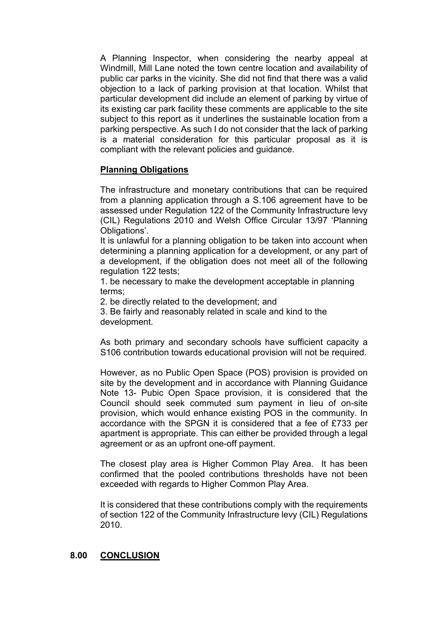A Planning Inspector, when considering the nearby appeal at Windmill, Mill Lane noted the town centre location and availability of public car parks in the vicinity. She did not find that there was a valid objection to a lack of parking provision at that location. Whilst that particular development did include an element of parking by virtue of its existing car park facility these comments are applicable to the site subject to this report as it underlines the sustainable location from a parking perspective. As such I do not consider that the lack of parking is a material consideration for this particular proposal as it is compliant with the relevant policies and guidance.

### **Planning Obligations**

The infrastructure and monetary contributions that can be required from a planning application through a S.106 agreement have to be assessed under Regulation 122 of the Community Infrastructure levy (CIL) Regulations 2010 and Welsh Office Circular 13/97 'Planning Obligations'.

It is unlawful for a planning obligation to be taken into account when determining a planning application for a development, or any part of a development, if the obligation does not meet all of the following regulation 122 tests;

1. be necessary to make the development acceptable in planning terms;

2. be directly related to the development; and

3. Be fairly and reasonably related in scale and kind to the development.

As both primary and secondary schools have sufficient capacity a S106 contribution towards educational provision will not be required.

However, as no Public Open Space (POS) provision is provided on site by the development and in accordance with Planning Guidance Note 13- Pubic Open Space provision, it is considered that the Council should seek commuted sum payment in lieu of on-site provision, which would enhance existing POS in the community. In accordance with the SPGN it is considered that a fee of £733 per apartment is appropriate. This can either be provided through a legal agreement or as an upfront one-off payment.

The closest play area is Higher Common Play Area. It has been confirmed that the pooled contributions thresholds have not been exceeded with regards to Higher Common Play Area.

It is considered that these contributions comply with the requirements of section 122 of the Community Infrastructure levy (CIL) Regulations 2010.

#### **8.00 CONCLUSION**